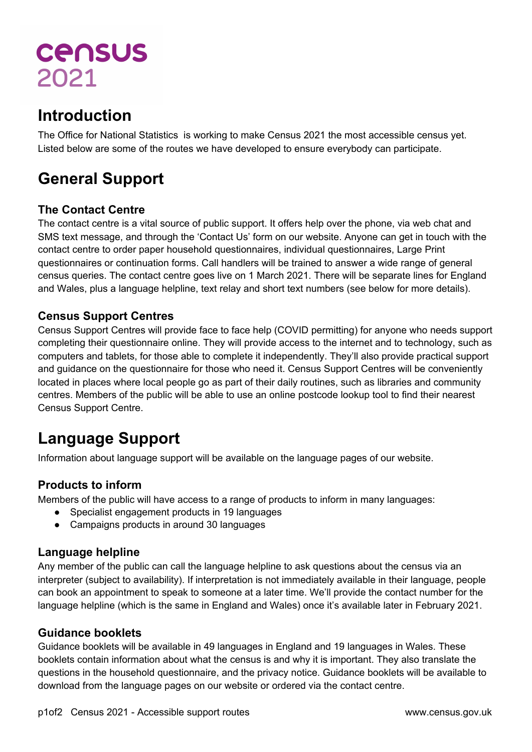# **CENSUS** 2021

# **Introduction**

The Office for National Statistics is working to make Census 2021 the most accessible census yet. Listed below are some of the routes we have developed to ensure everybody can participate.

# **General Support**

# **The Contact Centre**

The contact centre is a vital source of public support. It offers help over the phone, via web chat and SMS text message, and through the 'Contact Us' form on our website. Anyone can get in touch with the contact centre to order paper household questionnaires, individual questionnaires, Large Print questionnaires or continuation forms. Call handlers will be trained to answer a wide range of general census queries. The contact centre goes live on 1 March 2021. There will be separate lines for England and Wales, plus a language helpline, text relay and short text numbers (see below for more details).

#### **Census Support Centres**

Census Support Centres will provide face to face help (COVID permitting) for anyone who needs support completing their questionnaire online. They will provide access to the internet and to technology, such as computers and tablets, for those able to complete it independently. They'll also provide practical support and guidance on the questionnaire for those who need it. Census Support Centres will be conveniently located in places where local people go as part of their daily routines, such as libraries and community centres. Members of the public will be able to use an online postcode lookup tool to find their nearest Census Support Centre.

# **Language Support**

Information about language support will be available on the language pages of our website.

# **Products to inform**

Members of the public will have access to a range of products to inform in many languages:

- Specialist engagement products in 19 languages
- Campaigns products in around 30 languages

# **Language helpline**

Any member of the public can call the language helpline to ask questions about the census via an interpreter (subject to availability). If interpretation is not immediately available in their language, people can book an appointment to speak to someone at a later time. We'll provide the contact number for the language helpline (which is the same in England and Wales) once it's available later in February 2021.

#### **Guidance booklets**

Guidance booklets will be available in 49 languages in England and 19 languages in Wales. These booklets contain information about what the census is and why it is important. They also translate the questions in the household questionnaire, and the privacy notice. Guidance booklets will be available to download from the language pages on our website or ordered via the contact centre.